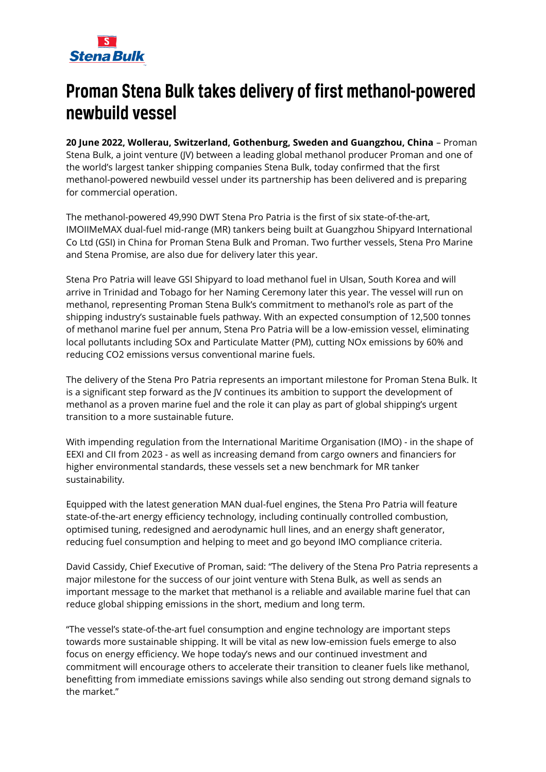# **Stena Bulk**

## Proman Stena Bulk takes delivery of first methanol-powered newbuild vessel

**20 June 2022, Wollerau, Switzerland, Gothenburg, Sweden and Guangzhou, China** – Proman Stena Bulk, a joint venture (JV) between a leading global methanol producer Proman and one of the world's largest tanker shipping companies Stena Bulk, today confirmed that the first methanol-powered newbuild vessel under its partnership has been delivered and is preparing for commercial operation.

The methanol-powered 49,990 DWT Stena Pro Patria is the first of six state-of-the-art, IMOIIMeMAX dual-fuel mid-range (MR) tankers being built at Guangzhou Shipyard International Co Ltd (GSI) in China for Proman Stena Bulk and Proman. Two further vessels, Stena Pro Marine and Stena Promise, are also due for delivery later this year.

Stena Pro Patria will leave GSI Shipyard to load methanol fuel in Ulsan, South Korea and will arrive in Trinidad and Tobago for her Naming Ceremony later this year. The vessel will run on methanol, representing Proman Stena Bulk's commitment to methanol's role as part of the shipping industry's sustainable fuels pathway. With an expected consumption of 12,500 tonnes of methanol marine fuel per annum, Stena Pro Patria will be a low-emission vessel, eliminating local pollutants including SOx and Particulate Matter (PM), cutting NOx emissions by 60% and reducing CO2 emissions versus conventional marine fuels.

The delivery of the Stena Pro Patria represents an important milestone for Proman Stena Bulk. It is a significant step forward as the JV continues its ambition to support the development of methanol as a proven marine fuel and the role it can play as part of global shipping's urgent transition to a more sustainable future.

With impending regulation from the International Maritime Organisation (IMO) - in the shape of EEXI and CII from 2023 - as well as increasing demand from cargo owners and financiers for higher environmental standards, these vessels set a new benchmark for MR tanker sustainability.

Equipped with the latest generation MAN dual-fuel engines, the Stena Pro Patria will feature state-of-the-art energy efficiency technology, including continually controlled combustion, optimised tuning, redesigned and aerodynamic hull lines, and an energy shaft generator, reducing fuel consumption and helping to meet and go beyond IMO compliance criteria.

David Cassidy, Chief Executive of Proman, said: "The delivery of the Stena Pro Patria represents a major milestone for the success of our joint venture with Stena Bulk, as well as sends an important message to the market that methanol is a reliable and available marine fuel that can reduce global shipping emissions in the short, medium and long term.

"The vessel's state-of-the-art fuel consumption and engine technology are important steps towards more sustainable shipping. It will be vital as new low-emission fuels emerge to also focus on energy efficiency. We hope today's news and our continued investment and commitment will encourage others to accelerate their transition to cleaner fuels like methanol, benefitting from immediate emissions savings while also sending out strong demand signals to the market."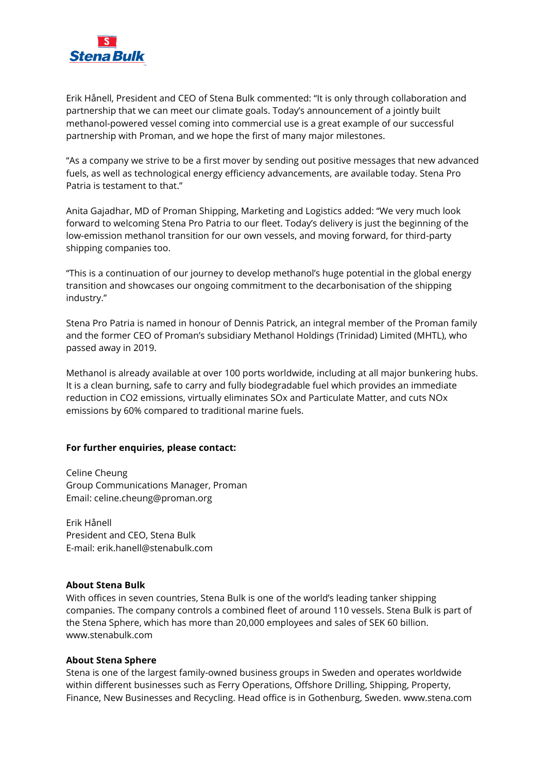

Erik Hånell, President and CEO of Stena Bulk commented: "It is only through collaboration and partnership that we can meet our climate goals. Today's announcement of a jointly built methanol-powered vessel coming into commercial use is a great example of our successful partnership with Proman, and we hope the first of many major milestones.

"As a company we strive to be a first mover by sending out positive messages that new advanced fuels, as well as technological energy efficiency advancements, are available today. Stena Pro Patria is testament to that."

Anita Gajadhar, MD of Proman Shipping, Marketing and Logistics added: "We very much look forward to welcoming Stena Pro Patria to our fleet. Today's delivery is just the beginning of the low-emission methanol transition for our own vessels, and moving forward, for third-party shipping companies too.

"This is a continuation of our journey to develop methanol's huge potential in the global energy transition and showcases our ongoing commitment to the decarbonisation of the shipping industry."

Stena Pro Patria is named in honour of Dennis Patrick, an integral member of the Proman family and the former CEO of Proman's subsidiary Methanol Holdings (Trinidad) Limited (MHTL), who passed away in 2019.

Methanol is already available at over 100 ports worldwide, including at all major bunkering hubs. It is a clean burning, safe to carry and fully biodegradable fuel which provides an immediate reduction in CO2 emissions, virtually eliminates SOx and Particulate Matter, and cuts NOx emissions by 60% compared to traditional marine fuels.

### **For further enquiries, please contact:**

Celine Cheung Group Communications Manager, Proman Email: celine.cheung@proman.org

Erik Hånell President and CEO, Stena Bulk E-mail: erik.hanell@stenabulk.com

### **About Stena Bulk**

With offices in seven countries, Stena Bulk is one of the world's leading tanker shipping companies. The company controls a combined fleet of around 110 vessels. Stena Bulk is part of the Stena Sphere, which has more than 20,000 employees and sales of SEK 60 billion. www.stenabulk.com

#### **About Stena Sphere**

Stena is one of the largest family-owned business groups in Sweden and operates worldwide within different businesses such as Ferry Operations, Offshore Drilling, Shipping, Property, Finance, New Businesses and Recycling. Head office is in Gothenburg, Sweden. www.stena.com